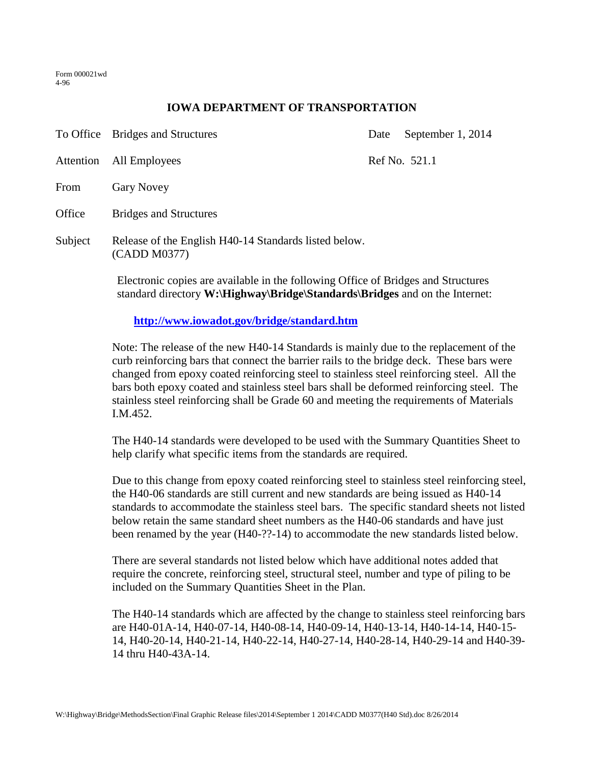Form 000021wd 4-96

## **IOWA DEPARTMENT OF TRANSPORTATION**

|                                            | To Office Bridges and Structures                                                                                                                                         | Date          | September 1, 2014 |
|--------------------------------------------|--------------------------------------------------------------------------------------------------------------------------------------------------------------------------|---------------|-------------------|
| Attention                                  | All Employees                                                                                                                                                            | Ref No. 521.1 |                   |
| From                                       | <b>Gary Novey</b>                                                                                                                                                        |               |                   |
| Office                                     | <b>Bridges and Structures</b>                                                                                                                                            |               |                   |
| Subject                                    | Release of the English H40-14 Standards listed below.<br>(CADD M0377)                                                                                                    |               |                   |
|                                            | Electronic copies are available in the following Office of Bridges and Structures<br>standard directory <b>W</b> : Highway Bridge Standards Bridges and on the Internet: |               |                   |
| http://www.iowadot.gov/bridge/standard.htm |                                                                                                                                                                          |               |                   |

Note: The release of the new H40-14 Standards is mainly due to the replacement of the curb reinforcing bars that connect the barrier rails to the bridge deck. These bars were changed from epoxy coated reinforcing steel to stainless steel reinforcing steel. All the bars both epoxy coated and stainless steel bars shall be deformed reinforcing steel. The stainless steel reinforcing shall be Grade 60 and meeting the requirements of Materials I.M.452.

The H40-14 standards were developed to be used with the Summary Quantities Sheet to help clarify what specific items from the standards are required.

Due to this change from epoxy coated reinforcing steel to stainless steel reinforcing steel, the H40-06 standards are still current and new standards are being issued as H40-14 standards to accommodate the stainless steel bars. The specific standard sheets not listed below retain the same standard sheet numbers as the H40-06 standards and have just been renamed by the year (H40-??-14) to accommodate the new standards listed below.

There are several standards not listed below which have additional notes added that require the concrete, reinforcing steel, structural steel, number and type of piling to be included on the Summary Quantities Sheet in the Plan.

The H40-14 standards which are affected by the change to stainless steel reinforcing bars are H40-01A-14, H40-07-14, H40-08-14, H40-09-14, H40-13-14, H40-14-14, H40-15- 14, H40-20-14, H40-21-14, H40-22-14, H40-27-14, H40-28-14, H40-29-14 and H40-39- 14 thru H40-43A-14.